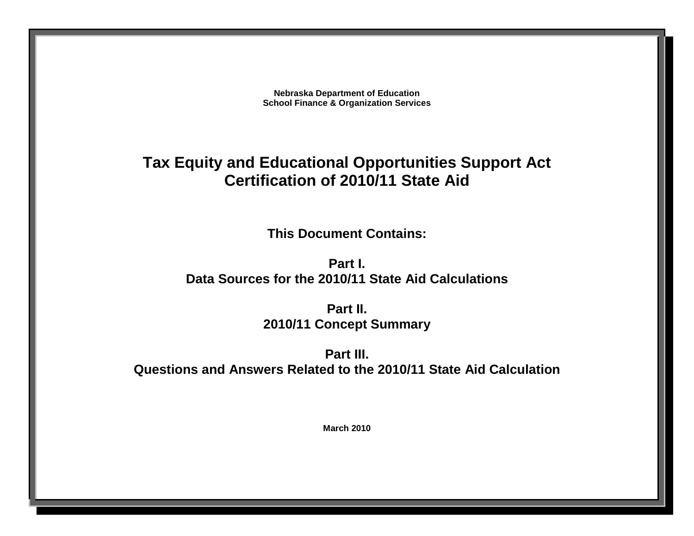**Nebraska Department of Education School Finance & Organization Services**

# **Tax Equity and Educational Opportunities Support Act Certification of 2010/11 State Aid**

**This Document Contains:**

**Part I. Data Sources for the 2010/11 State Aid Calculations**

> **Part II. 2010/11 Concept Summary**

**Part III. Questions and Answers Related to the 2010/11 State Aid Calculation**

**March 2010**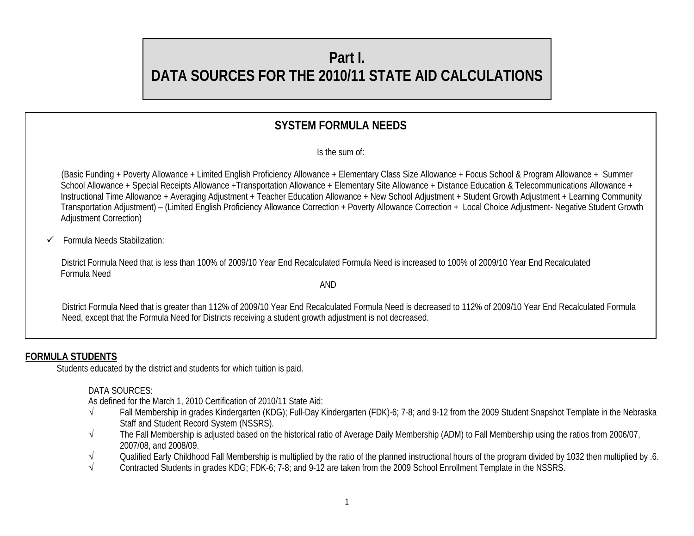# **Part I. DATA SOURCES FOR THE 2010/11 STATE AID CALCULATIONS**

## **SYSTEM FORMULA NEEDS**

Is the sum of:

 (Basic Funding + Poverty Allowance + Limited English Proficiency Allowance + Elementary Class Size Allowance + Focus School & Program Allowance + Summer School Allowance + Special Receipts Allowance +Transportation Allowance + Elementary Site Allowance + Distance Education & Telecommunications Allowance + Instructional Time Allowance + Averaging Adjustment + Teacher Education Allowance + New School Adjustment + Student Growth Adjustment + Learning Community Transportation Adjustment) – (Limited English Proficiency Allowance Correction + Poverty Allowance Correction + Local Choice Adjustment- Negative Student Growth Adjustment Correction)

Formula Needs Stabilization:

 District Formula Need that is less than 100% of 2009/10 Year End Recalculated Formula Need is increased to 100% of 2009/10 Year End Recalculated Formula Need

AND

District Formula Need that is greater than 112% of 2009/10 Year End Recalculated Formula Need is decreased to 112% of 2009/10 Year End Recalculated Formula Need, except that the Formula Need for Districts receiving a student growth adjustment is not decreased.

## **FORMULA STUDENTS**

Students educated by the district and students for which tuition is paid.

DATA SOURCES:

As defined for the March 1, 2010 Certification of 2010/11 State Aid:

- √ Fall Membership in grades Kindergarten (KDG); Full-Day Kindergarten (FDK)-6; 7-8; and 9-12 from the 2009 Student Snapshot Template in the Nebraska Staff and Student Record System (NSSRS).
- √ The Fall Membership is adjusted based on the historical ratio of Average Daily Membership (ADM) to Fall Membership using the ratios from 2006/07, 2007/08, and 2008/09.
- $\sqrt{ }$  Qualified Early Childhood Fall Membership is multiplied by the ratio of the planned instructional hours of the program divided by 1032 then multiplied by .6.
- Contracted Students in grades KDG; FDK-6; 7-8; and 9-12 are taken from the 2009 School Enrollment Template in the NSSRS.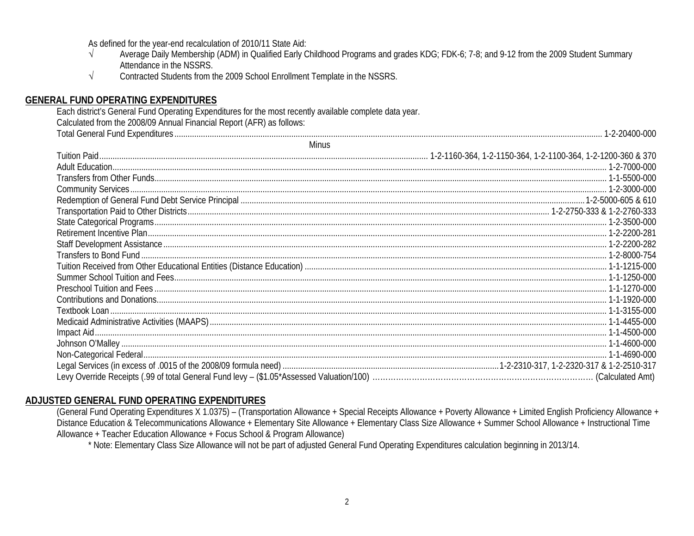As defined for the year-end recalculation of 2010/11 State Aid:

- Average Daily Membership (ADM) in Qualified Early Childhood Programs and grades KDG; FDK-6; 7-8; and 9-12 from the 2009 Student Summary  $\sqrt{ }$ Attendance in the NSSRS.
- Contracted Students from the 2009 School Enrollment Template in the NSSRS.  $\sqrt{ }$

## **GENERAL FUND OPERATING EXPENDITURES**

Each district's General Fund Operating Expenditures for the most recently available complete data year. Calculated from the 2008/09 Annual Financial Report (AFR) as follows: 

| Minus |  |
|-------|--|
|       |  |
|       |  |
|       |  |
|       |  |
|       |  |
|       |  |
|       |  |
|       |  |
|       |  |
|       |  |
|       |  |
|       |  |
|       |  |
|       |  |
|       |  |
|       |  |
|       |  |
|       |  |
|       |  |
|       |  |
|       |  |

#### ADJUSTED GENERAL FUND OPERATING EXPENDITURES

(General Fund Operating Expenditures X 1.0375) - (Transportation Allowance + Special Receipts Allowance + Poverty Allowance + Limited English Proficiency Allowance + Distance Education & Telecommunications Allowance + Elementary Site Allowance + Elementary Class Size Allowance + Summer School Allowance + Instructional Time Allowance + Teacher Education Allowance + Focus School & Program Allowance)

\* Note: Elementary Class Size Allowance will not be part of adjusted General Fund Operating Expenditures calculation beginning in 2013/14.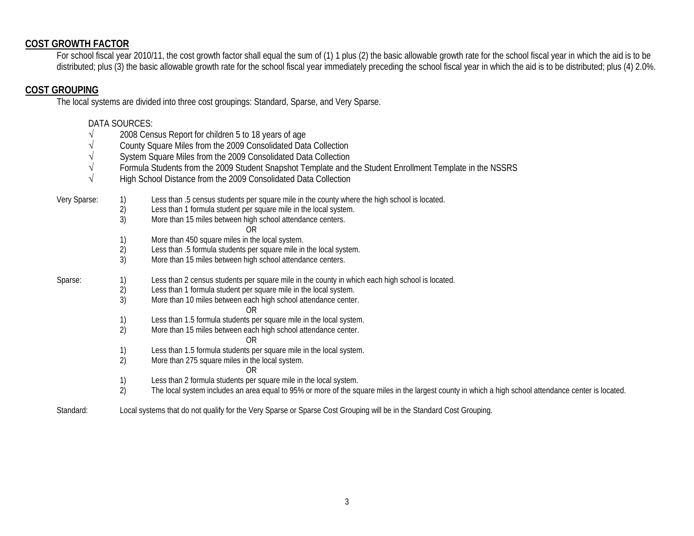#### **COST GROWTH FACTOR**

For school fiscal year 2010/11, the cost growth factor shall equal the sum of (1) 1 plus (2) the basic allowable growth rate for the school fiscal year in which the aid is to be distributed; plus (3) the basic allowable growth rate for the school fiscal year immediately preceding the school fiscal year in which the aid is to be distributed; plus (4) 2.0%.

#### **COST GROUPING**

The local systems are divided into three cost groupings: Standard, Sparse, and Very Sparse.

#### DATA SOURCES:

- √ 2008 Census Report for children 5 to 18 years of age
- √ County Square Miles from the 2009 Consolidated Data Collection
- System Square Miles from the 2009 Consolidated Data Collection
- √ Formula Students from the 2009 Student Snapshot Template and the Student Enrollment Template in the NSSRS
- √ High School Distance from the 2009 Consolidated Data Collection

|  | Very Sparse: |  | Less than .5 census students per square mile in the county where the high school is located. |
|--|--------------|--|----------------------------------------------------------------------------------------------|
|--|--------------|--|----------------------------------------------------------------------------------------------|

- 2) Less than 1 formula student per square mile in the local system.
- 3) More than 15 miles between high school attendance centers.
	- OR
- 1) More than 450 square miles in the local system.
- 2) Less than .5 formula students per square mile in the local system.
- 3) More than 15 miles between high school attendance centers.

Sparse: 1) Less than 2 census students per square mile in the county in which each high school is located.

- 2) Less than 1 formula student per square mile in the local system.<br>3) More than 10 miles between each high school attendance center
- More than 10 miles between each high school attendance center.
	- OR
- 1) Less than 1.5 formula students per square mile in the local system.
- 2) More than 15 miles between each high school attendance center.
	- OR
- 1) Less than 1.5 formula students per square mile in the local system.
- 2) More than 275 square miles in the local system.
	- OR
- 1) Less than 2 formula students per square mile in the local system.
- 2) The local system includes an area equal to 95% or more of the square miles in the largest county in which a high school attendance center is located.
- Standard: Local systems that do not qualify for the Very Sparse or Sparse Cost Grouping will be in the Standard Cost Grouping.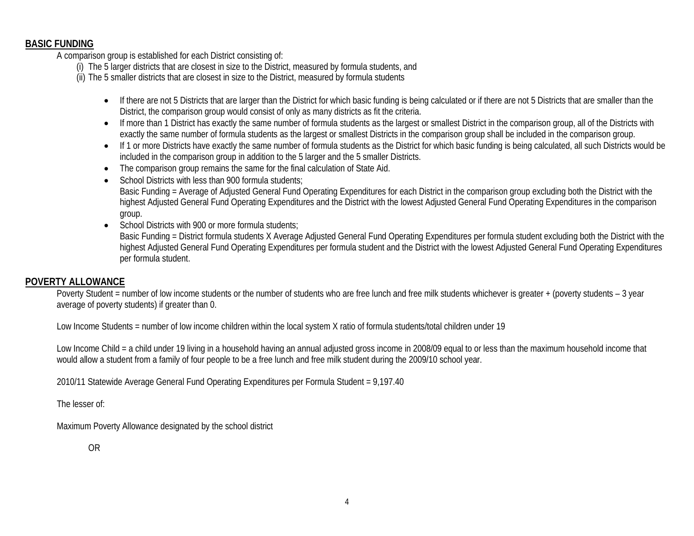#### **BASIC FUNDING**

A comparison group is established for each District consisting of:

- (i) The 5 larger districts that are closest in size to the District, measured by formula students, and
- (ii) The 5 smaller districts that are closest in size to the District, measured by formula students
	- If there are not 5 Districts that are larger than the District for which basic funding is being calculated or if there are not 5 Districts that are smaller than the District, the comparison group would consist of only as many districts as fit the criteria.
	- If more than 1 District has exactly the same number of formula students as the largest or smallest District in the comparison group, all of the Districts with exactly the same number of formula students as the largest or smallest Districts in the comparison group shall be included in the comparison group.
	- If 1 or more Districts have exactly the same number of formula students as the District for which basic funding is being calculated, all such Districts would be included in the comparison group in addition to the 5 larger and the 5 smaller Districts.
	- The comparison group remains the same for the final calculation of State Aid.
	- School Districts with less than 900 formula students; Basic Funding = Average of Adjusted General Fund Operating Expenditures for each District in the comparison group excluding both the District with the highest Adjusted General Fund Operating Expenditures and the District with the lowest Adjusted General Fund Operating Expenditures in the comparison group.
	- School Districts with 900 or more formula students:

Basic Funding = District formula students X Average Adjusted General Fund Operating Expenditures per formula student excluding both the District with the highest Adjusted General Fund Operating Expenditures per formula student and the District with the lowest Adjusted General Fund Operating Expenditures per formula student.

#### **POVERTY ALLOWANCE**

Poverty Student = number of low income students or the number of students who are free lunch and free milk students whichever is greater + (poverty students - 3 year average of poverty students) if greater than 0.

Low Income Students = number of low income children within the local system X ratio of formula students/total children under 19

Low Income Child = a child under 19 living in a household having an annual adjusted gross income in 2008/09 equal to or less than the maximum household income that would allow a student from a family of four people to be a free lunch and free milk student during the 2009/10 school year.

2010/11 Statewide Average General Fund Operating Expenditures per Formula Student = 9,197.40

The lesser of:

Maximum Poverty Allowance designated by the school district

OR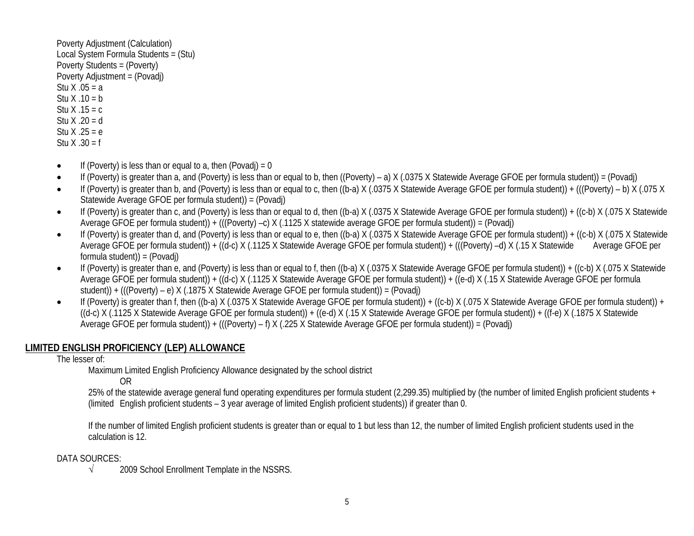Poverty Adjustment (Calculation) Local System Formula Students = (Stu) Poverty Students = (Poverty) Poverty Adjustment = (Povadj) Stu  $X .05 = a$ Stu  $X \cdot 10 = b$ Stu  $X$  .15 = c Stu  $X .20 = d$ Stu  $X .25 = e$ Stu X .30 = f

- If (Poverty) is less than or equal to a, then (Povadi) = 0
- If (Poverty) is greater than a, and (Poverty) is less than or equal to b, then ((Poverty) a) X (.0375 X Statewide Average GFOE per formula student)) = (Povadj)
- If (Poverty) is greater than b, and (Poverty) is less than or equal to c, then ((b-a) X (.0375 X Statewide Average GFOE per formula student)) + (((Poverty) b) X (.075 X Statewide Average GFOE per formula student)) = (Povadj)
- If (Poverty) is greater than c, and (Poverty) is less than or equal to d, then ((b-a) X (.0375 X Statewide Average GFOE per formula student)) + ((c-b) X (.075 X Statewide Average GFOE per formula student)) + (((Poverty) –c) X (.1125 X statewide average GFOE per formula student)) = (Povadj)
- If (Poverty) is greater than d, and (Poverty) is less than or equal to e, then ((b-a) X (.0375 X Statewide Average GFOE per formula student)) + ((c-b) X (.075 X Statewide Average GFOE per formula student)) + ((d-c) X (.1125 X Statewide Average GFOE per formula student)) + (((Poverty) –d) X (.15 X Statewide Average GFOE per formula student)) = (Povadj)
- If (Poverty) is greater than e, and (Poverty) is less than or equal to f, then ((b-a) X (.0375 X Statewide Average GFOE per formula student)) + ((c-b) X (.075 X Statewide Average GFOE per formula student)) + ((d-c) X (.1125 X Statewide Average GFOE per formula student)) + ((e-d) X (.15 X Statewide Average GFOE per formula student)) + (((Poverty) – e) X (.1875 X Statewide Average GFOE per formula student)) = (Povadj)
- If (Poverty) is greater than f, then ((b-a) X (.0375 X Statewide Average GFOE per formula student)) + ((c-b) X (.075 X Statewide Average GFOE per formula student)) +  $((d-c) X (.1125 X Statewide$  Average GFOE per formula student $)) + ((e-d) X (.15 X State$ wide Average GFOE per formula student $)) + ((f-e) X (.1875 X State$ wide Average GFOE per formula student)) + (((Poverty) – f) X (.225 X Statewide Average GFOE per formula student)) = (Povadj)

## **LIMITED ENGLISH PROFICIENCY (LEP) ALLOWANCE**

#### The lesser of:

Maximum Limited English Proficiency Allowance designated by the school district

#### OR

25% of the statewide average general fund operating expenditures per formula student (2,299.35) multiplied by (the number of limited English proficient students + (limited English proficient students – 3 year average of limited English proficient students)) if greater than 0.

If the number of limited English proficient students is greater than or equal to 1 but less than 12, the number of limited English proficient students used in the calculation is 12.

#### DATA SOURCES:

√ 2009 School Enrollment Template in the NSSRS.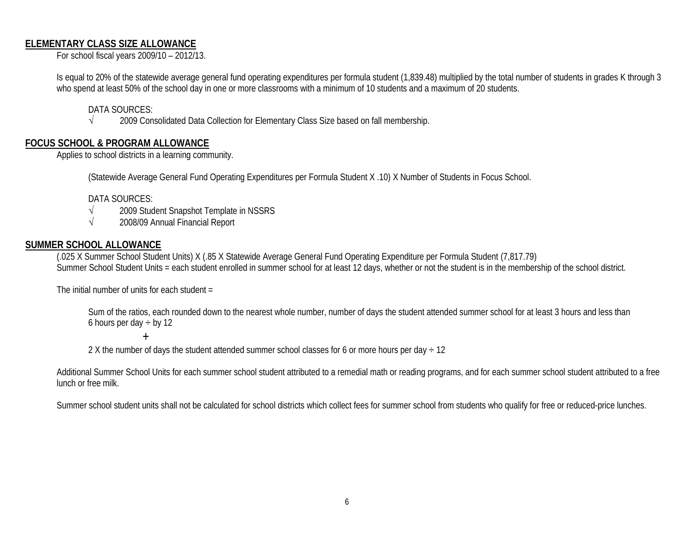## **ELEMENTARY CLASS SIZE ALLOWANCE**

For school fiscal years 2009/10 – 2012/13.

Is equal to 20% of the statewide average general fund operating expenditures per formula student (1,839.48) multiplied by the total number of students in grades K through 3 who spend at least 50% of the school day in one or more classrooms with a minimum of 10 students and a maximum of 20 students.

DATA SOURCES:<br>√ 2009 Con

2009 Consolidated Data Collection for Elementary Class Size based on fall membership.

#### **FOCUS SCHOOL & PROGRAM ALLOWANCE**

Applies to school districts in a learning community.

(Statewide Average General Fund Operating Expenditures per Formula Student X .10) X Number of Students in Focus School.

DATA SOURCES:

- √ 2009 Student Snapshot Template in NSSRS
- √ 2008/09 Annual Financial Report

#### **SUMMER SCHOOL ALLOWANCE**

(.025 X Summer School Student Units) X (.85 X Statewide Average General Fund Operating Expenditure per Formula Student (7,817.79) Summer School Student Units = each student enrolled in summer school for at least 12 days, whether or not the student is in the membership of the school district.

The initial number of units for each student =

Sum of the ratios, each rounded down to the nearest whole number, number of days the student attended summer school for at least 3 hours and less than 6 hours per day  $\div$  by 12

 $+$ 

2 X the number of days the student attended summer school classes for 6 or more hours per day  $\div$  12

Additional Summer School Units for each summer school student attributed to a remedial math or reading programs, and for each summer school student attributed to a free lunch or free milk.

Summer school student units shall not be calculated for school districts which collect fees for summer school from students who qualify for free or reduced-price lunches.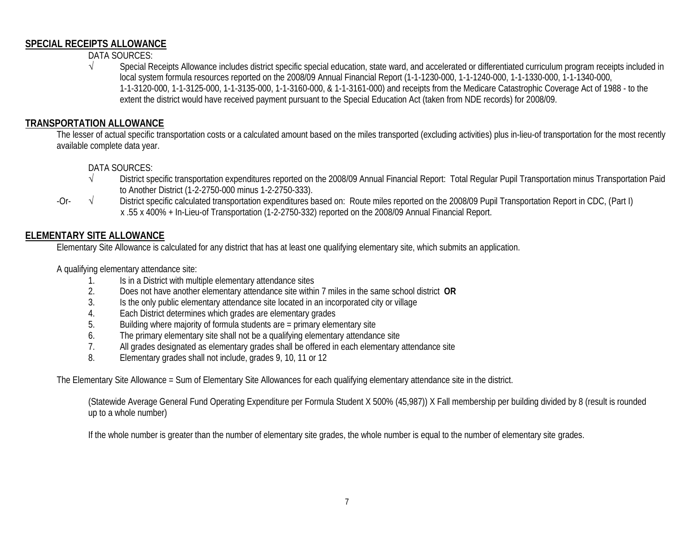#### **SPECIAL RECEIPTS ALLOWANCE**

DATA SOURCES:

√ Special Receipts Allowance includes district specific special education, state ward, and accelerated or differentiated curriculum program receipts included in local system formula resources reported on the 2008/09 Annual Financial Report (1-1-1230-000, 1-1-1240-000, 1-1-1330-000, 1-1-1340-000, 1-1-3120-000, 1-1-3125-000, 1-1-3135-000, 1-1-3160-000, & 1-1-3161-000) and receipts from the Medicare Catastrophic Coverage Act of 1988 - to the extent the district would have received payment pursuant to the Special Education Act (taken from NDE records) for 2008/09.

## **TRANSPORTATION ALLOWANCE**

The lesser of actual specific transportation costs or a calculated amount based on the miles transported (excluding activities) plus in-lieu-of transportation for the most recently available complete data year.

DATA SOURCES:<br> $\sqrt{\phantom{a}}$  District sn

- District specific transportation expenditures reported on the 2008/09 Annual Financial Report: Total Regular Pupil Transportation minus Transportation Paid to Another District (1-2-2750-000 minus 1-2-2750-333).
- -Or- √ District specific calculated transportation expenditures based on: Route miles reported on the 2008/09 Pupil Transportation Report in CDC, (Part I) x .55 x 400% + In-Lieu-of Transportation (1-2-2750-332) reported on the 2008/09 Annual Financial Report.

## **ELEMENTARY SITE ALLOWANCE**

Elementary Site Allowance is calculated for any district that has at least one qualifying elementary site, which submits an application.

A qualifying elementary attendance site:

- 1. Is in a District with multiple elementary attendance sites<br>2. Does not have another elementary attendance site withi
- 2. Does not have another elementary attendance site within 7 miles in the same school district **OR**
- 3. Is the only public elementary attendance site located in an incorporated city or village
- 4. Each District determines which grades are elementary grades
- 5. Building where majority of formula students are = primary elementary site
- 6. The primary elementary site shall not be a qualifying elementary attendance site
- 7. All grades designated as elementary grades shall be offered in each elementary attendance site<br>8. Elementary grades shall not include, grades 9, 10, 11 or 12
- Elementary grades shall not include, grades 9, 10, 11 or 12

The Elementary Site Allowance = Sum of Elementary Site Allowances for each qualifying elementary attendance site in the district.

(Statewide Average General Fund Operating Expenditure per Formula Student X 500% (45,987)) X Fall membership per building divided by 8 (result is rounded up to a whole number)

If the whole number is greater than the number of elementary site grades, the whole number is equal to the number of elementary site grades.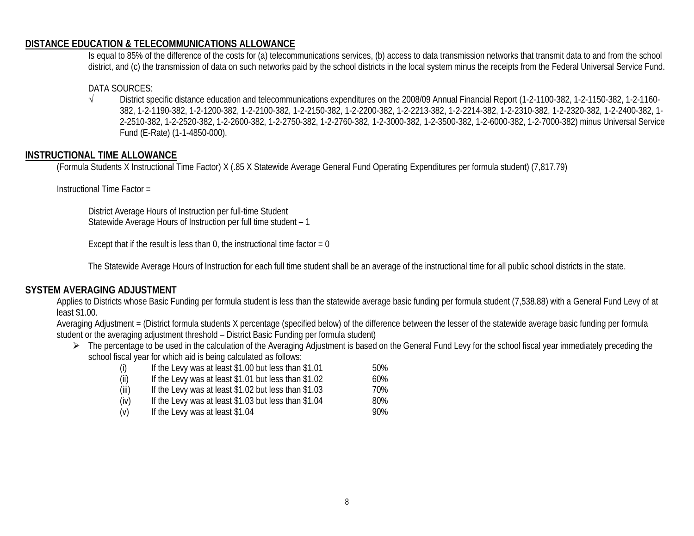#### **DISTANCE EDUCATION & TELECOMMUNICATIONS ALLOWANCE**

Is equal to 85% of the difference of the costs for (a) telecommunications services, (b) access to data transmission networks that transmit data to and from the school district, and (c) the transmission of data on such networks paid by the school districts in the local system minus the receipts from the Federal Universal Service Fund.

#### DATA SOURCES:

√ District specific distance education and telecommunications expenditures on the 2008/09 Annual Financial Report (1-2-1100-382, 1-2-1150-382, 1-2-1160- 382, 1-2-1190-382, 1-2-1200-382, 1-2-2100-382, 1-2-2150-382, 1-2-2200-382, 1-2-2213-382, 1-2-2214-382, 1-2-2310-382, 1-2-2320-382, 1-2-2400-382, 1- 2-2510-382, 1-2-2520-382, 1-2-2600-382, 1-2-2750-382, 1-2-2760-382, 1-2-3000-382, 1-2-3500-382, 1-2-6000-382, 1-2-7000-382) minus Universal Service Fund (E-Rate) (1-1-4850-000).

#### **INSTRUCTIONAL TIME ALLOWANCE**

(Formula Students X Instructional Time Factor) X (.85 X Statewide Average General Fund Operating Expenditures per formula student) (7,817.79)

Instructional Time Factor =

District Average Hours of Instruction per full-time Student Statewide Average Hours of Instruction per full time student – 1

Except that if the result is less than 0, the instructional time factor  $= 0$ 

The Statewide Average Hours of Instruction for each full time student shall be an average of the instructional time for all public school districts in the state.

#### **SYSTEM AVERAGING ADJUSTMENT**

Applies to Districts whose Basic Funding per formula student is less than the statewide average basic funding per formula student (7,538.88) with a General Fund Levy of at least \$1.00.

Averaging Adjustment = (District formula students X percentage (specified below) of the difference between the lesser of the statewide average basic funding per formula student or the averaging adjustment threshold – District Basic Funding per formula student)

The percentage to be used in the calculation of the Averaging Adjustment is based on the General Fund Levy for the school fiscal year immediately preceding the school fiscal year for which aid is being calculated as follows:

| (i) | If the Levy was at least \$1.00 but less than \$1.01 | 50% |
|-----|------------------------------------------------------|-----|
|     |                                                      |     |

- $(ii)$  If the Levy was at least \$1.01 but less than \$1.02 60%
- $(iii)$  If the Levy was at least \$1.02 but less than \$1.03  $\qquad 70\%$
- $(iv)$  If the Levy was at least \$1.03 but less than \$1.04 80%
- $(v)$  If the Levy was at least  $$1.04$  90%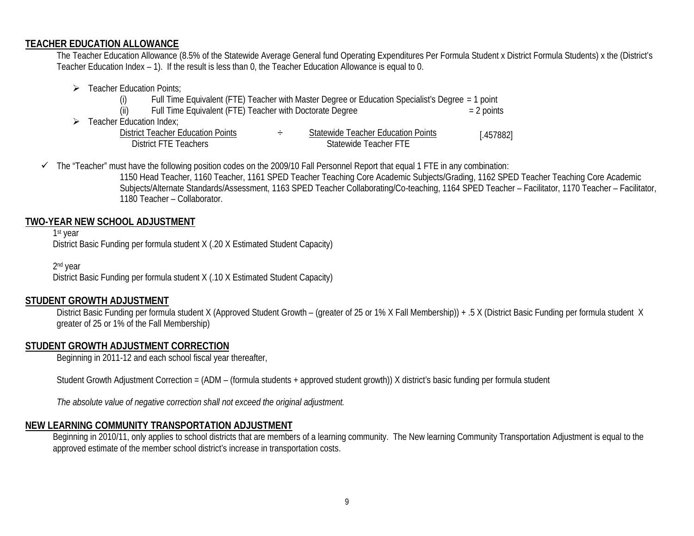#### **TEACHER EDUCATION ALLOWANCE**

The Teacher Education Allowance (8.5% of the Statewide Average General fund Operating Expenditures Per Formula Student x District Formula Students) x the (District's Teacher Education Index – 1). If the result is less than 0, the Teacher Education Allowance is equal to 0.

- $\triangleright$  Teacher Education Points:
	- (i) Full Time Equivalent (FTE) Teacher with Master Degree or Education Specialist's Degree = 1 point
	- (ii) Full Time Equivalent (FTE) Teacher with Doctorate Degree  $= 2$  points
- $\triangleright$  Teacher Education Index;

| <b>District Teacher Education Points</b> | Statewide Teacher Education Points | [.457882] |
|------------------------------------------|------------------------------------|-----------|
| District FTE Teachers                    | Statewide Teacher FTE              |           |

 $\checkmark$  The "Teacher" must have the following position codes on the 2009/10 Fall Personnel Report that equal 1 FTE in any combination:

1150 Head Teacher, 1160 Teacher, 1161 SPED Teacher Teaching Core Academic Subjects/Grading, 1162 SPED Teacher Teaching Core Academic Subjects/Alternate Standards/Assessment, 1163 SPED Teacher Collaborating/Co-teaching, 1164 SPED Teacher – Facilitator, 1170 Teacher – Facilitator, 1180 Teacher – Collaborator.

#### **TWO-YEAR NEW SCHOOL ADJUSTMENT**

1st year District Basic Funding per formula student X (.20 X Estimated Student Capacity)

2nd year District Basic Funding per formula student X (.10 X Estimated Student Capacity)

#### **STUDENT GROWTH ADJUSTMENT**

District Basic Funding per formula student X (Approved Student Growth – (greater of 25 or 1% X Fall Membership)) + .5 X (District Basic Funding per formula student X greater of 25 or 1% of the Fall Membership)

#### **STUDENT GROWTH ADJUSTMENT CORRECTION**

Beginning in 2011-12 and each school fiscal year thereafter,

Student Growth Adjustment Correction = (ADM – (formula students + approved student growth)) X district's basic funding per formula student

*The absolute value of negative correction shall not exceed the original adjustment.*

#### **NEW LEARNING COMMUNITY TRANSPORTATION ADJUSTMENT**

Beginning in 2010/11, only applies to school districts that are members of a learning community. The New learning Community Transportation Adjustment is equal to the approved estimate of the member school district's increase in transportation costs.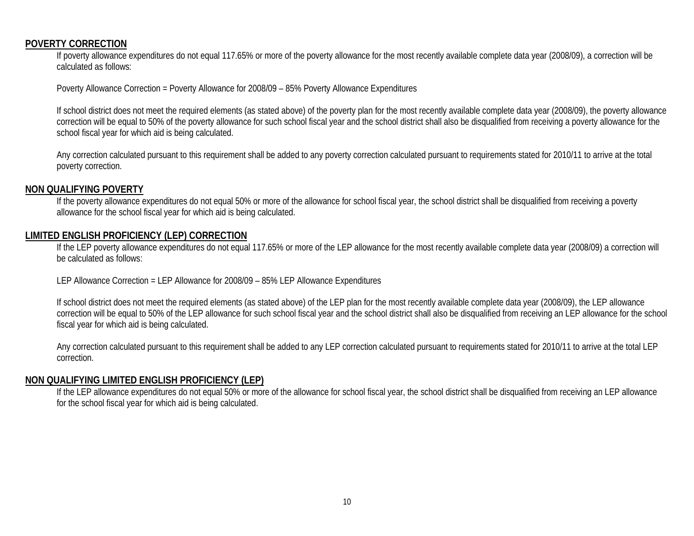#### **POVERTY CORRECTION**

If poverty allowance expenditures do not equal 117.65% or more of the poverty allowance for the most recently available complete data year (2008/09), a correction will be calculated as follows:

Poverty Allowance Correction = Poverty Allowance for 2008/09 – 85% Poverty Allowance Expenditures

If school district does not meet the required elements (as stated above) of the poverty plan for the most recently available complete data year (2008/09), the poverty allowance correction will be equal to 50% of the poverty allowance for such school fiscal year and the school district shall also be disqualified from receiving a poverty allowance for the school fiscal year for which aid is being calculated.

Any correction calculated pursuant to this requirement shall be added to any poverty correction calculated pursuant to requirements stated for 2010/11 to arrive at the total poverty correction.

#### **NON QUALIFYING POVERTY**

If the poverty allowance expenditures do not equal 50% or more of the allowance for school fiscal year, the school district shall be disqualified from receiving a poverty allowance for the school fiscal year for which aid is being calculated.

#### **LIMITED ENGLISH PROFICIENCY (LEP) CORRECTION**

If the LEP poverty allowance expenditures do not equal 117.65% or more of the LEP allowance for the most recently available complete data year (2008/09) a correction will be calculated as follows:

LEP Allowance Correction = LEP Allowance for 2008/09 – 85% LEP Allowance Expenditures

If school district does not meet the required elements (as stated above) of the LEP plan for the most recently available complete data year (2008/09), the LEP allowance correction will be equal to 50% of the LEP allowance for such school fiscal year and the school district shall also be disqualified from receiving an LEP allowance for the school fiscal year for which aid is being calculated.

Any correction calculated pursuant to this requirement shall be added to any LEP correction calculated pursuant to requirements stated for 2010/11 to arrive at the total LEP correction.

#### **NON QUALIFYING LIMITED ENGLISH PROFICIENCY (LEP)**

If the LEP allowance expenditures do not equal 50% or more of the allowance for school fiscal year, the school district shall be disqualified from receiving an LEP allowance for the school fiscal year for which aid is being calculated.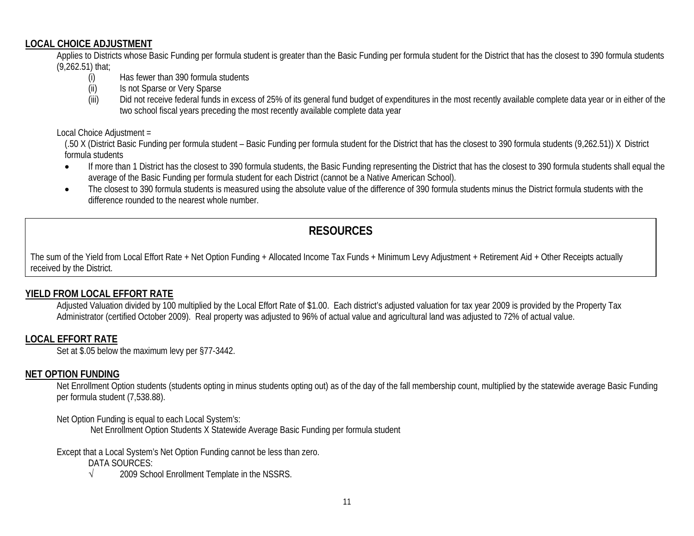### **LOCAL CHOICE ADJUSTMENT**

Applies to Districts whose Basic Funding per formula student is greater than the Basic Funding per formula student for the District that has the closest to 390 formula students (9,262.51) that;

- (i) Has fewer than 390 formula students
- (ii) Is not Sparse or Very Sparse
- (iii) Did not receive federal funds in excess of 25% of its general fund budget of expenditures in the most recently available complete data year or in either of the two school fiscal years preceding the most recently available complete data year

#### Local Choice Adjustment =

(.50 X (District Basic Funding per formula student – Basic Funding per formula student for the District that has the closest to 390 formula students (9,262.51)) X District formula students

- If more than 1 District has the closest to 390 formula students, the Basic Funding representing the District that has the closest to 390 formula students shall equal the average of the Basic Funding per formula student for each District (cannot be a Native American School).
- The closest to 390 formula students is measured using the absolute value of the difference of 390 formula students minus the District formula students with the difference rounded to the nearest whole number.

## **RESOURCES**

The sum of the Yield from Local Effort Rate + Net Option Funding + Allocated Income Tax Funds + Minimum Levy Adjustment + Retirement Aid + Other Receipts actually received by the District.

## **YIELD FROM LOCAL EFFORT RATE**

Adjusted Valuation divided by 100 multiplied by the Local Effort Rate of \$1.00. Each district's adjusted valuation for tax year 2009 is provided by the Property Tax Administrator (certified October 2009). Real property was adjusted to 96% of actual value and agricultural land was adjusted to 72% of actual value.

## **LOCAL EFFORT RATE**

Set at \$.05 below the maximum levy per §77-3442.

## **NET OPTION FUNDING**

Net Enrollment Option students (students opting in minus students opting out) as of the day of the fall membership count, multiplied by the statewide average Basic Funding per formula student (7,538.88).

Net Option Funding is equal to each Local System's:

Net Enrollment Option Students X Statewide Average Basic Funding per formula student

Except that a Local System's Net Option Funding cannot be less than zero.

- DATA SOURCES:
- √ 2009 School Enrollment Template in the NSSRS.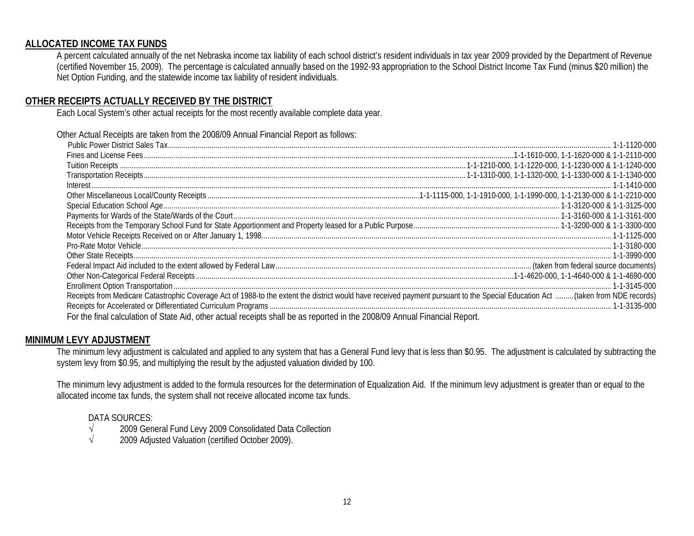### **ALLOCATED INCOME TAX FUNDS**

A percent calculated annually of the net Nebraska income tax liability of each school district's resident individuals in tax year 2009 provided by the Department of Revenue (certified November 15, 2009). The percentage is calculated annually based on the 1992-93 appropriation to the School District Income Tax Fund (minus \$20 million) the Net Option Funding, and the statewide income tax liability of resident individuals.

## **OTHER RECEIPTS ACTUALLY RECEIVED BY THE DISTRICT**

Each Local System's other actual receipts for the most recently available complete data year.

Other Actual Receipts are taken from the 2008/09 Annual Financial Report as follows:

| Receipts from Medicare Catastrophic Coverage Act of 1988-to the extent the district would have received payment pursuant to the Special Education Act  (taken from NDE records) |  |
|---------------------------------------------------------------------------------------------------------------------------------------------------------------------------------|--|
|                                                                                                                                                                                 |  |
| For the final calculation of State Aid, other actual receipts shall be as reported in the 2008/09 Annual Financial Report.                                                      |  |

#### **MINIMUM LEVY ADJUSTMENT**

The minimum levy adjustment is calculated and applied to any system that has a General Fund levy that is less than \$0.95. The adjustment is calculated by subtracting the system levy from \$0.95, and multiplying the result by the adjusted valuation divided by 100.

The minimum levy adjustment is added to the formula resources for the determination of Equalization Aid. If the minimum levy adjustment is greater than or equal to the allocated income tax funds, the system shall not receive allocated income tax funds.

# DATA SOURCES:<br>√ 2009 Gen

- √ 2009 General Fund Levy 2009 Consolidated Data Collection
- √ 2009 Adjusted Valuation (certified October 2009).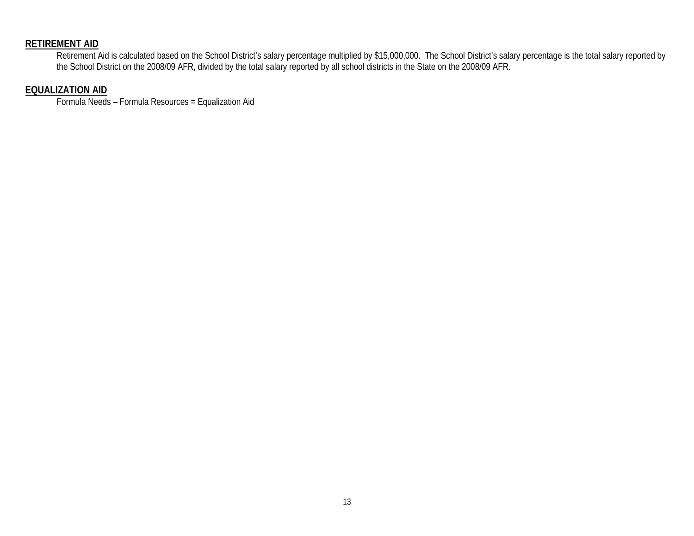## **RETIREMENT AID**

Retirement Aid is calculated based on the School District's salary percentage multiplied by \$15,000,000. The School District's salary percentage is the total salary reported by the School District on the 2008/09 AFR, divided by the total salary reported by all school districts in the State on the 2008/09 AFR.

#### **EQUALIZATION AID**

Formula Needs – Formula Resources = Equalization Aid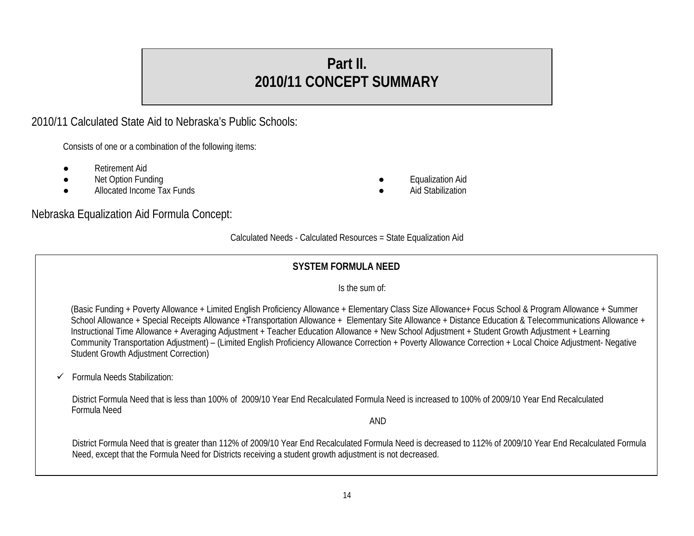# **Part II. 2010/11 CONCEPT SUMMARY**

2010/11 Calculated State Aid to Nebraska's Public Schools:

Consists of one or a combination of the following items:

- **Retirement Aid**
- 
- Net Option Funding and Tax Funds and Tax Funds and Tax Funds and Tax Funds and Tax Funds and Tax Funds and Tax Funds and Tax Funds and Atlantic and Aid Stabilization Aid Stabilization Aid Stabilization and Aid Stabilizati Allocated Income Tax Funds
- -

Nebraska Equalization Aid Formula Concept:

Calculated Needs - Calculated Resources = State Equalization Aid

## **SYSTEM FORMULA NEED**

#### Is the sum of:

(Basic Funding + Poverty Allowance + Limited English Proficiency Allowance + Elementary Class Size Allowance+ Focus School & Program Allowance + Summer School Allowance + Special Receipts Allowance + Transportation Allowance + Elementary Site Allowance + Distance Education & Telecommunications Allowance + Instructional Time Allowance + Averaging Adjustment + Teacher Education Allowance + New School Adjustment + Student Growth Adjustment + Learning Community Transportation Adjustment) – (Limited English Proficiency Allowance Correction + Poverty Allowance Correction + Local Choice Adjustment- Negative Student Growth Adjustment Correction)

 $\checkmark$  Formula Needs Stabilization:

District Formula Need that is less than 100% of 2009/10 Year End Recalculated Formula Need is increased to 100% of 2009/10 Year End Recalculated Formula Need

AND

District Formula Need that is greater than 112% of 2009/10 Year End Recalculated Formula Need is decreased to 112% of 2009/10 Year End Recalculated Formula Need, except that the Formula Need for Districts receiving a student growth adjustment is not decreased.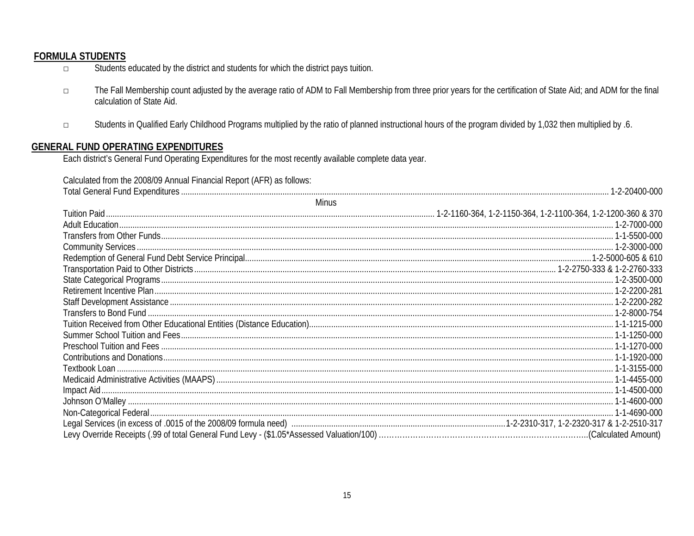## **FORMULA STUDENTS**

- Students educated by the district and students for which the district pays tuition.  $\Box$
- The Fall Membership count adjusted by the average ratio of ADM to Fall Membership from three prior years for the certification of State Aid; and ADM for the final  $\Box$ calculation of State Aid.
- Students in Qualified Early Childhood Programs multiplied by the ratio of planned instructional hours of the program divided by 1,032 then multiplied by .6.  $\Box$

### **GENERAL FUND OPERATING EXPENDITURES**

Each district's General Fund Operating Expenditures for the most recently available complete data year.

Calculated from the 2008/09 Annual Financial Report (AFR) as follows:

| <b>Minus</b> |  |
|--------------|--|
|              |  |
|              |  |
|              |  |
|              |  |
|              |  |
|              |  |
|              |  |
|              |  |
|              |  |
|              |  |
|              |  |
|              |  |
|              |  |
|              |  |
|              |  |
|              |  |
|              |  |
|              |  |
|              |  |
|              |  |
|              |  |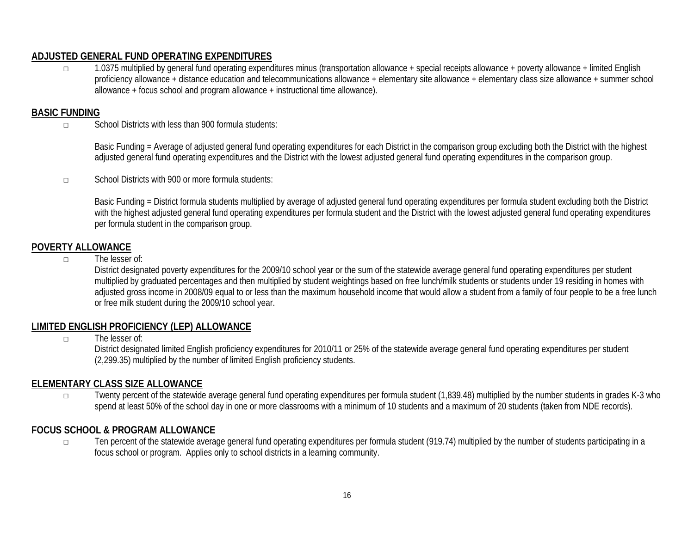## **ADJUSTED GENERAL FUND OPERATING EXPENDITURES**

□ 1.0375 multiplied by general fund operating expenditures minus (transportation allowance + special receipts allowance + poverty allowance + limited English proficiency allowance + distance education and telecommunications allowance + elementary site allowance + elementary class size allowance + summer school allowance + focus school and program allowance + instructional time allowance).

## **BASIC FUNDING**

□ School Districts with less than 900 formula students:

Basic Funding = Average of adjusted general fund operating expenditures for each District in the comparison group excluding both the District with the highest adjusted general fund operating expenditures and the District with the lowest adjusted general fund operating expenditures in the comparison group.

□ School Districts with 900 or more formula students:

Basic Funding = District formula students multiplied by average of adjusted general fund operating expenditures per formula student excluding both the District with the highest adjusted general fund operating expenditures per formula student and the District with the lowest adjusted general fund operating expenditures per formula student in the comparison group.

## **POVERTY ALLOWANCE**

□ The lesser of:

District designated poverty expenditures for the 2009/10 school year or the sum of the statewide average general fund operating expenditures per student multiplied by graduated percentages and then multiplied by student weightings based on free lunch/milk students or students under 19 residing in homes with adjusted gross income in 2008/09 equal to or less than the maximum household income that would allow a student from a family of four people to be a free lunch or free milk student during the 2009/10 school year.

## **LIMITED ENGLISH PROFICIENCY (LEP) ALLOWANCE**

 $\neg$  The lesser of:

District designated limited English proficiency expenditures for 2010/11 or 25% of the statewide average general fund operating expenditures per student (2,299.35) multiplied by the number of limited English proficiency students.

## **ELEMENTARY CLASS SIZE ALLOWANCE**

□ Twenty percent of the statewide average general fund operating expenditures per formula student (1,839.48) multiplied by the number students in grades K-3 who spend at least 50% of the school day in one or more classrooms with a minimum of 10 students and a maximum of 20 students (taken from NDE records).

#### **FOCUS SCHOOL & PROGRAM ALLOWANCE**

□ Ten percent of the statewide average general fund operating expenditures per formula student (919.74) multiplied by the number of students participating in a focus school or program. Applies only to school districts in a learning community.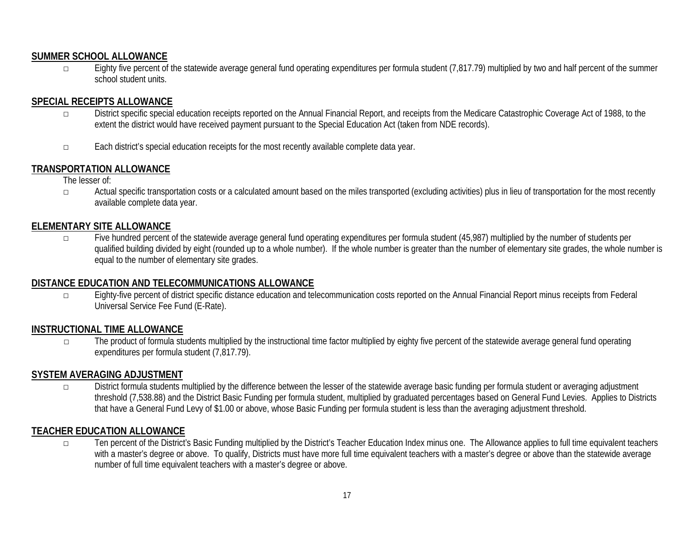## **SUMMER SCHOOL ALLOWANCE**

 $\Box$  Eighty five percent of the statewide average general fund operating expenditures per formula student (7,817.79) multiplied by two and half percent of the summer school student units.

## **SPECIAL RECEIPTS ALLOWANCE**

- □ District specific special education receipts reported on the Annual Financial Report, and receipts from the Medicare Catastrophic Coverage Act of 1988, to the extent the district would have received payment pursuant to the Special Education Act (taken from NDE records).
- □ Each district's special education receipts for the most recently available complete data year.

## **TRANSPORTATION ALLOWANCE**

The lesser of:

□ Actual specific transportation costs or a calculated amount based on the miles transported (excluding activities) plus in lieu of transportation for the most recently available complete data year.

## **ELEMENTARY SITE ALLOWANCE**

□ Five hundred percent of the statewide average general fund operating expenditures per formula student (45,987) multiplied by the number of students per qualified building divided by eight (rounded up to a whole number). If the whole number is greater than the number of elementary site grades, the whole number is equal to the number of elementary site grades.

#### **DISTANCE EDUCATION AND TELECOMMUNICATIONS ALLOWANCE**

□ Eighty-five percent of district specific distance education and telecommunication costs reported on the Annual Financial Report minus receipts from Federal Universal Service Fee Fund (E-Rate).

#### **INSTRUCTIONAL TIME ALLOWANCE**

□ The product of formula students multiplied by the instructional time factor multiplied by eighty five percent of the statewide average general fund operating expenditures per formula student (7,817.79).

#### **SYSTEM AVERAGING ADJUSTMENT**

□ District formula students multiplied by the difference between the lesser of the statewide average basic funding per formula student or averaging adjustment threshold (7,538.88) and the District Basic Funding per formula student, multiplied by graduated percentages based on General Fund Levies. Applies to Districts that have a General Fund Levy of \$1.00 or above, whose Basic Funding per formula student is less than the averaging adjustment threshold.

## **TEACHER EDUCATION ALLOWANCE**

□ Ten percent of the District's Basic Funding multiplied by the District's Teacher Education Index minus one. The Allowance applies to full time equivalent teachers with a master's degree or above. To qualify, Districts must have more full time equivalent teachers with a master's degree or above than the statewide average number of full time equivalent teachers with a master's degree or above.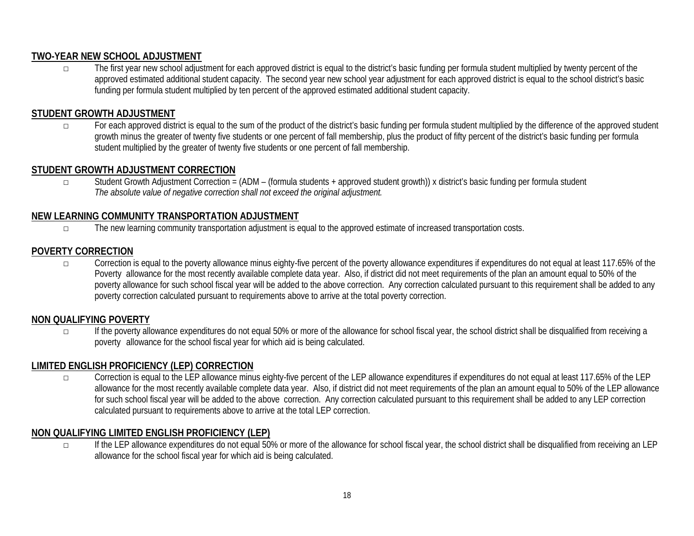## **TWO-YEAR NEW SCHOOL ADJUSTMENT**

□ The first year new school adjustment for each approved district is equal to the district's basic funding per formula student multiplied by twenty percent of the approved estimated additional student capacity. The second year new school year adjustment for each approved district is equal to the school district's basic funding per formula student multiplied by ten percent of the approved estimated additional student capacity.

## **STUDENT GROWTH ADJUSTMENT**

□ For each approved district is equal to the sum of the product of the district's basic funding per formula student multiplied by the difference of the approved student growth minus the greater of twenty five students or one percent of fall membership, plus the product of fifty percent of the district's basic funding per formula student multiplied by the greater of twenty five students or one percent of fall membership.

## **STUDENT GROWTH ADJUSTMENT CORRECTION**

□ Student Growth Adjustment Correction = (ADM – (formula students + approved student growth)) x district's basic funding per formula student *The absolute value of negative correction shall not exceed the original adjustment.*

## **NEW LEARNING COMMUNITY TRANSPORTATION ADJUSTMENT**

□ The new learning community transportation adjustment is equal to the approved estimate of increased transportation costs.

## **POVERTY CORRECTION**

□ Correction is equal to the poverty allowance minus eighty-five percent of the poverty allowance expenditures if expenditures do not equal at least 117.65% of the Poverty allowance for the most recently available complete data year. Also, if district did not meet requirements of the plan an amount equal to 50% of the poverty allowance for such school fiscal year will be added to the above correction. Any correction calculated pursuant to this requirement shall be added to any poverty correction calculated pursuant to requirements above to arrive at the total poverty correction.

## **NON QUALIFYING POVERTY**

□ If the poverty allowance expenditures do not equal 50% or more of the allowance for school fiscal year, the school district shall be disqualified from receiving a poverty allowance for the school fiscal year for which aid is being calculated.

## **LIMITED ENGLISH PROFICIENCY (LEP) CORRECTION**

□ Correction is equal to the LEP allowance minus eighty-five percent of the LEP allowance expenditures if expenditures do not equal at least 117.65% of the LEP allowance for the most recently available complete data year. Also, if district did not meet requirements of the plan an amount equal to 50% of the LEP allowance for such school fiscal year will be added to the above correction. Any correction calculated pursuant to this requirement shall be added to any LEP correction calculated pursuant to requirements above to arrive at the total LEP correction.

## **NON QUALIFYING LIMITED ENGLISH PROFICIENCY (LEP)**

□ If the LEP allowance expenditures do not equal 50% or more of the allowance for school fiscal year, the school district shall be disqualified from receiving an LEP allowance for the school fiscal year for which aid is being calculated.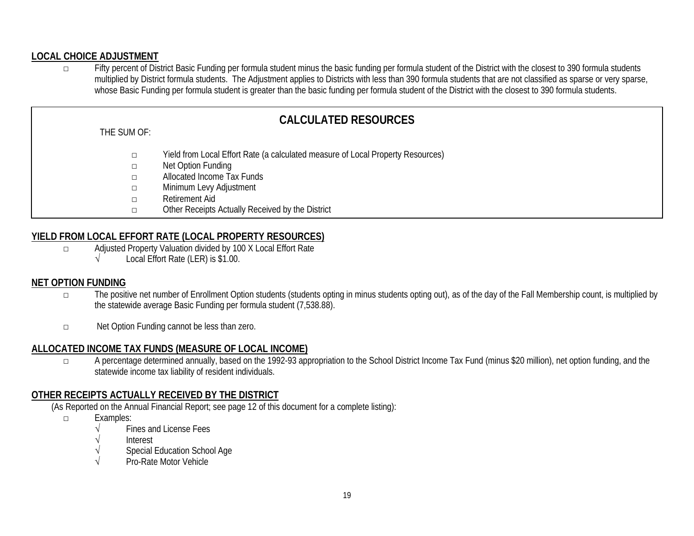## **LOCAL CHOICE ADJUSTMENT**

□ Fifty percent of District Basic Funding per formula student minus the basic funding per formula student of the District with the closest to 390 formula students multiplied by District formula students. The Adjustment applies to Districts with less than 390 formula students that are not classified as sparse or very sparse, whose Basic Funding per formula student is greater than the basic funding per formula student of the District with the closest to 390 formula students.

# **CALCULATED RESOURCES**

#### THE SUM OF:

- □ Yield from Local Effort Rate (a calculated measure of Local Property Resources)
- □ Net Option Funding
- □ Allocated Income Tax Funds
- □ Minimum Levy Adjustment
- □ Retirement Aid
- □ Other Receipts Actually Received by the District

## **YIELD FROM LOCAL EFFORT RATE (LOCAL PROPERTY RESOURCES)**

- □ Adjusted Property Valuation divided by 100 X Local Effort Rate
	- √ Local Effort Rate (LER) is \$1.00.

#### **NET OPTION FUNDING**

- □ The positive net number of Enrollment Option students (students opting in minus students opting out), as of the day of the Fall Membership count, is multiplied by the statewide average Basic Funding per formula student (7,538.88).
- □ Net Option Funding cannot be less than zero.

#### **ALLOCATED INCOME TAX FUNDS (MEASURE OF LOCAL INCOME)**

□ A percentage determined annually, based on the 1992-93 appropriation to the School District Income Tax Fund (minus \$20 million), net option funding, and the statewide income tax liability of resident individuals.

## **OTHER RECEIPTS ACTUALLY RECEIVED BY THE DISTRICT**

(As Reported on the Annual Financial Report; see page 12 of this document for a complete listing):

- □ Examples:
	- Fines and License Fees
	- √ Interest
	- Special Education School Age
	- √ Pro-Rate Motor Vehicle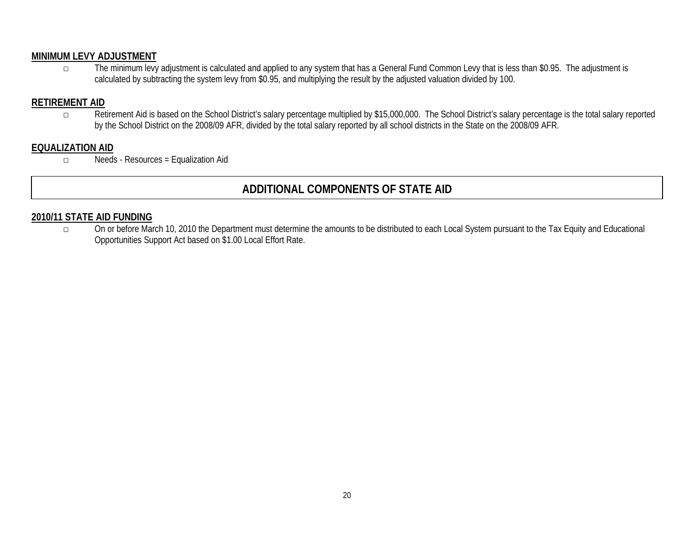## **MINIMUM LEVY ADJUSTMENT**

□ The minimum levy adjustment is calculated and applied to any system that has a General Fund Common Levy that is less than \$0.95. The adjustment is calculated by subtracting the system levy from \$0.95, and multiplying the result by the adjusted valuation divided by 100.

## **RETIREMENT AID**

□ Retirement Aid is based on the School District's salary percentage multiplied by \$15,000,000. The School District's salary percentage is the total salary reported by the School District on the 2008/09 AFR, divided by the total salary reported by all school districts in the State on the 2008/09 AFR.

## **EQUALIZATION AID**

□ Needs - Resources = Equalization Aid

# **ADDITIONAL COMPONENTS OF STATE AID**

#### **2010/11 STATE AID FUNDING**

□ On or before March 10, 2010 the Department must determine the amounts to be distributed to each Local System pursuant to the Tax Equity and Educational Opportunities Support Act based on \$1.00 Local Effort Rate.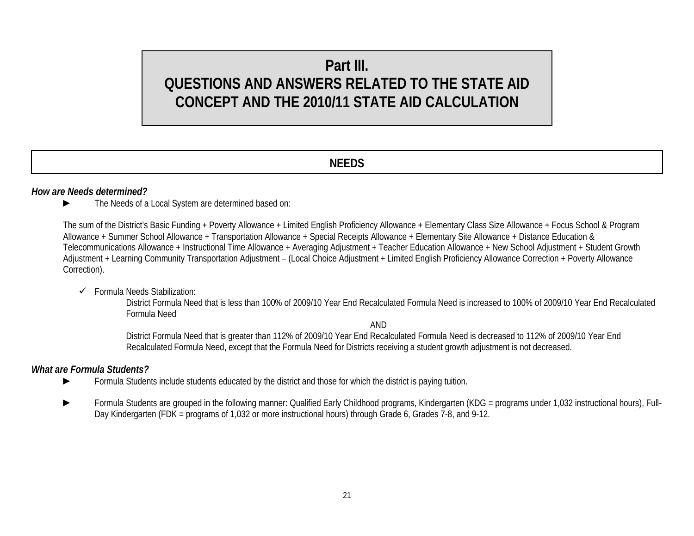# **Part III. QUESTIONS AND ANSWERS RELATED TO THE STATE AID CONCEPT AND THE 2010/11 STATE AID CALCULATION**

## **NEEDS**

#### *How are Needs determined?*

► The Needs of a Local System are determined based on:

The sum of the District's Basic Funding + Poverty Allowance + Limited English Proficiency Allowance + Elementary Class Size Allowance + Focus School & Program Allowance + Summer School Allowance + Transportation Allowance + Special Receipts Allowance + Elementary Site Allowance + Distance Education & Telecommunications Allowance + Instructional Time Allowance + Averaging Adjustment + Teacher Education Allowance + New School Adjustment + Student Growth Adjustment + Learning Community Transportation Adjustment – (Local Choice Adjustment + Limited English Proficiency Allowance Correction + Poverty Allowance Correction).

#### $\checkmark$  Formula Needs Stabilization:

District Formula Need that is less than 100% of 2009/10 Year End Recalculated Formula Need is increased to 100% of 2009/10 Year End Recalculated Formula Need

AND

District Formula Need that is greater than 112% of 2009/10 Year End Recalculated Formula Need is decreased to 112% of 2009/10 Year End Recalculated Formula Need, except that the Formula Need for Districts receiving a student growth adjustment is not decreased.

#### *What are Formula Students?*

- ► Formula Students include students educated by the district and those for which the district is paying tuition.
- Formula Students are grouped in the following manner: Qualified Early Childhood programs, Kindergarten (KDG = programs under 1,032 instructional hours), Full-Day Kindergarten (FDK = programs of 1,032 or more instructional hours) through Grade 6, Grades 7-8, and 9-12.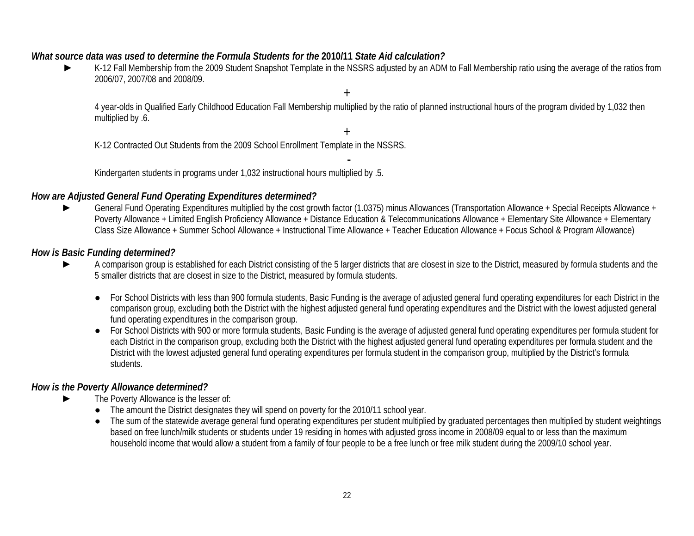## *What source data was used to determine the Formula Students for the* **2010/11** *State Aid calculation?*

K-12 Fall Membership from the 2009 Student Snapshot Template in the NSSRS adjusted by an ADM to Fall Membership ratio using the average of the ratios from 2006/07, 2007/08 and 2008/09.

4 year-olds in Qualified Early Childhood Education Fall Membership multiplied by the ratio of planned instructional hours of the program divided by 1,032 then multiplied by .6.

+

+

K-12 Contracted Out Students from the 2009 School Enrollment Template in the NSSRS.

- Kindergarten students in programs under 1,032 instructional hours multiplied by .5.

## *How are Adjusted General Fund Operating Expenditures determined?*

General Fund Operating Expenditures multiplied by the cost growth factor (1.0375) minus Allowances (Transportation Allowance + Special Receipts Allowance + Poverty Allowance + Limited English Proficiency Allowance + Distance Education & Telecommunications Allowance + Elementary Site Allowance + Elementary Class Size Allowance + Summer School Allowance + Instructional Time Allowance + Teacher Education Allowance + Focus School & Program Allowance)

#### *How is Basic Funding determined?*

- A comparison group is established for each District consisting of the 5 larger districts that are closest in size to the District, measured by formula students and the 5 smaller districts that are closest in size to the District, measured by formula students.
	- For School Districts with less than 900 formula students, Basic Funding is the average of adjusted general fund operating expenditures for each District in the comparison group, excluding both the District with the highest adjusted general fund operating expenditures and the District with the lowest adjusted general fund operating expenditures in the comparison group.
	- For School Districts with 900 or more formula students, Basic Funding is the average of adjusted general fund operating expenditures per formula student for each District in the comparison group, excluding both the District with the highest adjusted general fund operating expenditures per formula student and the District with the lowest adjusted general fund operating expenditures per formula student in the comparison group, multiplied by the District's formula students.

## *How is the Poverty Allowance determined?*

- The Poverty Allowance is the lesser of:
	- The amount the District designates they will spend on poverty for the 2010/11 school year.
	- The sum of the statewide average general fund operating expenditures per student multiplied by graduated percentages then multiplied by student weightings based on free lunch/milk students or students under 19 residing in homes with adjusted gross income in 2008/09 equal to or less than the maximum household income that would allow a student from a family of four people to be a free lunch or free milk student during the 2009/10 school year.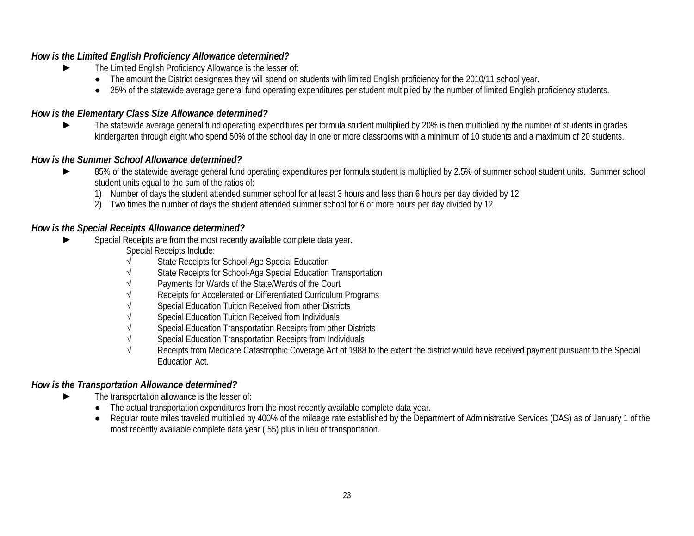## *How is the Limited English Proficiency Allowance determined?*

- ► The Limited English Proficiency Allowance is the lesser of:
	- The amount the District designates they will spend on students with limited English proficiency for the 2010/11 school year.
	- 25% of the statewide average general fund operating expenditures per student multiplied by the number of limited English proficiency students.

## *How is the Elementary Class Size Allowance determined?*

► The statewide average general fund operating expenditures per formula student multiplied by 20% is then multiplied by the number of students in grades kindergarten through eight who spend 50% of the school day in one or more classrooms with a minimum of 10 students and a maximum of 20 students.

## *How is the Summer School Allowance determined?*

- 85% of the statewide average general fund operating expenditures per formula student is multiplied by 2.5% of summer school student units. Summer school student units equal to the sum of the ratios of:
	- 1) Number of days the student attended summer school for at least 3 hours and less than 6 hours per day divided by 12
	- 2) Two times the number of days the student attended summer school for 6 or more hours per day divided by 12

## *How is the Special Receipts Allowance determined?*

- Special Receipts are from the most recently available complete data year.
	- Special Receipts Include:
	- State Receipts for School-Age Special Education
	- State Receipts for School-Age Special Education Transportation
	- Payments for Wards of the State/Wards of the Court
	- Receipts for Accelerated or Differentiated Curriculum Programs
	- Special Education Tuition Received from other Districts
	- Special Education Tuition Received from Individuals
	- Special Education Transportation Receipts from other Districts
	- √ Special Education Transportation Receipts from Individuals
	- Receipts from Medicare Catastrophic Coverage Act of 1988 to the extent the district would have received payment pursuant to the Special Education Act.

## *How is the Transportation Allowance determined?*

- The transportation allowance is the lesser of:
	- The actual transportation expenditures from the most recently available complete data year.
	- Regular route miles traveled multiplied by 400% of the mileage rate established by the Department of Administrative Services (DAS) as of January 1 of the most recently available complete data year (.55) plus in lieu of transportation.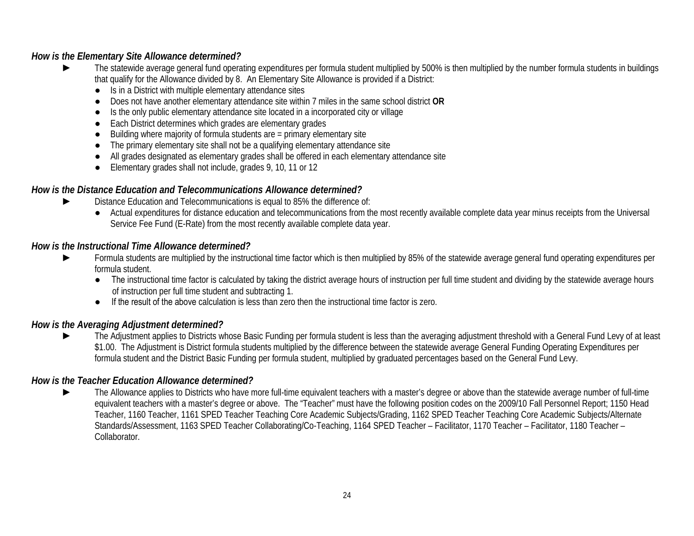## *How is the Elementary Site Allowance determined?*

- The statewide average general fund operating expenditures per formula student multiplied by 500% is then multiplied by the number formula students in buildings that qualify for the Allowance divided by 8. An Elementary Site Allowance is provided if a District:
	- Is in a District with multiple elementary attendance sites
	- Does not have another elementary attendance site within 7 miles in the same school district **OR**
	- Is the only public elementary attendance site located in a incorporated city or village
	- Each District determines which grades are elementary grades
	- Building where majority of formula students are  $=$  primary elementary site
	- The primary elementary site shall not be a qualifying elementary attendance site
	- All grades designated as elementary grades shall be offered in each elementary attendance site
	- Elementary grades shall not include, grades 9, 10, 11 or 12

## *How is the Distance Education and Telecommunications Allowance determined?*

- Distance Education and Telecommunications is equal to 85% the difference of:
	- Actual expenditures for distance education and telecommunications from the most recently available complete data year minus receipts from the Universal Service Fee Fund (E-Rate) from the most recently available complete data year.

#### *How is the Instructional Time Allowance determined?*

- Formula students are multiplied by the instructional time factor which is then multiplied by 85% of the statewide average general fund operating expenditures per formula student.
	- The instructional time factor is calculated by taking the district average hours of instruction per full time student and dividing by the statewide average hours of instruction per full time student and subtracting 1.
	- If the result of the above calculation is less than zero then the instructional time factor is zero.

#### *How is the Averaging Adjustment determined?*

The Adjustment applies to Districts whose Basic Funding per formula student is less than the averaging adjustment threshold with a General Fund Levy of at least \$1.00. The Adjustment is District formula students multiplied by the difference between the statewide average General Funding Operating Expenditures per formula student and the District Basic Funding per formula student, multiplied by graduated percentages based on the General Fund Levy.

## *How is the Teacher Education Allowance determined?*

The Allowance applies to Districts who have more full-time equivalent teachers with a master's degree or above than the statewide average number of full-time equivalent teachers with a master's degree or above. The "Teacher" must have the following position codes on the 2009/10 Fall Personnel Report; 1150 Head Teacher, 1160 Teacher, 1161 SPED Teacher Teaching Core Academic Subjects/Grading, 1162 SPED Teacher Teaching Core Academic Subjects/Alternate Standards/Assessment, 1163 SPED Teacher Collaborating/Co-Teaching, 1164 SPED Teacher – Facilitator, 1170 Teacher – Facilitator, 1180 Teacher – Collaborator.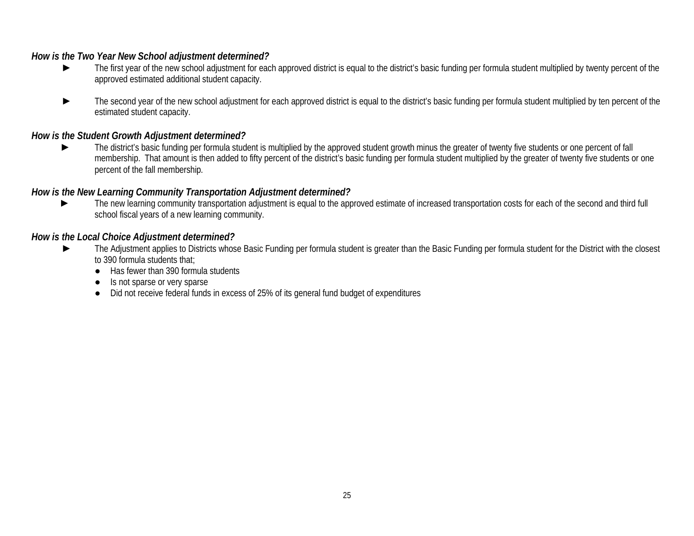### *How is the Two Year New School adjustment determined?*

- ► The first year of the new school adjustment for each approved district is equal to the district's basic funding per formula student multiplied by twenty percent of the approved estimated additional student capacity.
- The second year of the new school adjustment for each approved district is equal to the district's basic funding per formula student multiplied by ten percent of the estimated student capacity.

## *How is the Student Growth Adjustment determined?*

The district's basic funding per formula student is multiplied by the approved student growth minus the greater of twenty five students or one percent of fall membership. That amount is then added to fifty percent of the district's basic funding per formula student multiplied by the greater of twenty five students or one percent of the fall membership.

## *How is the New Learning Community Transportation Adjustment determined?*

The new learning community transportation adjustment is equal to the approved estimate of increased transportation costs for each of the second and third full school fiscal years of a new learning community.

#### *How is the Local Choice Adjustment determined?*

- ► The Adjustment applies to Districts whose Basic Funding per formula student is greater than the Basic Funding per formula student for the District with the closest to 390 formula students that;
	- Has fewer than 390 formula students
	- Is not sparse or very sparse
	- Did not receive federal funds in excess of 25% of its general fund budget of expenditures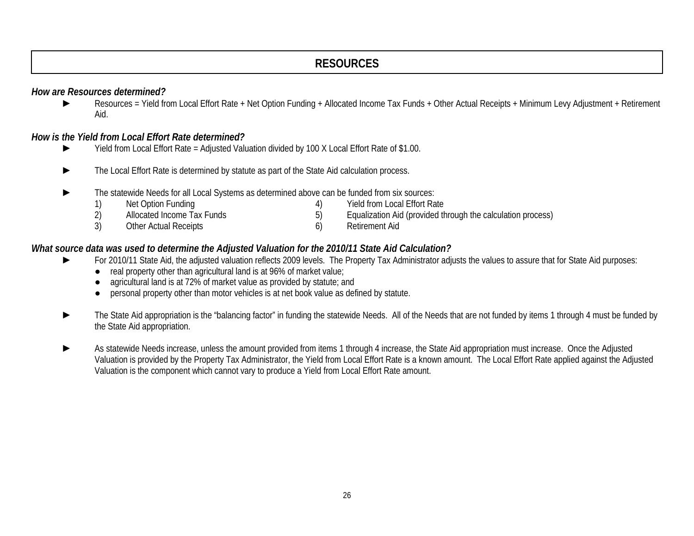## **RESOURCES**

#### *How are Resources determined?*

► Resources = Yield from Local Effort Rate + Net Option Funding + Allocated Income Tax Funds + Other Actual Receipts + Minimum Levy Adjustment + Retirement Aid.

## *How is the Yield from Local Effort Rate determined?*

- ► Yield from Local Effort Rate = Adjusted Valuation divided by 100 X Local Effort Rate of \$1.00.
- ► The Local Effort Rate is determined by statute as part of the State Aid calculation process.
- ► The statewide Needs for all Local Systems as determined above can be funded from six sources:

| Net Option Funding         | Yield from Local Effort Rate                                |
|----------------------------|-------------------------------------------------------------|
| Allocated Income Tax Funds | Equalization Aid (provided through the calculation process) |
| Other Actual Receipts      | Retirement Aid                                              |

## *What source data was used to determine the Adjusted Valuation for the 2010/11 State Aid Calculation?*

- ► For 2010/11 State Aid, the adjusted valuation reflects 2009 levels. The Property Tax Administrator adjusts the values to assure that for State Aid purposes:
	- real property other than agricultural land is at 96% of market value;
	- agricultural land is at 72% of market value as provided by statute; and
	- personal property other than motor vehicles is at net book value as defined by statute.
- The State Aid appropriation is the "balancing factor" in funding the statewide Needs. All of the Needs that are not funded by items 1 through 4 must be funded by the State Aid appropriation.
- As statewide Needs increase, unless the amount provided from items 1 through 4 increase, the State Aid appropriation must increase. Once the Adjusted Valuation is provided by the Property Tax Administrator, the Yield from Local Effort Rate is a known amount. The Local Effort Rate applied against the Adjusted Valuation is the component which cannot vary to produce a Yield from Local Effort Rate amount.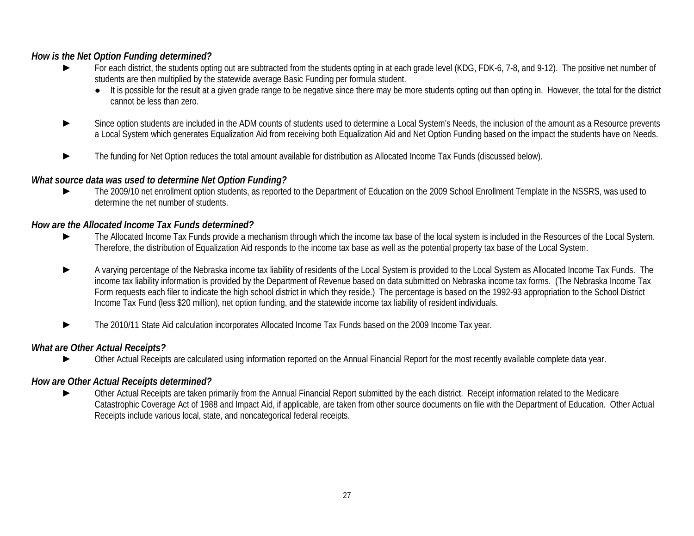## *How is the Net Option Funding determined?*

- For each district, the students opting out are subtracted from the students opting in at each grade level (KDG, FDK-6, 7-8, and 9-12). The positive net number of students are then multiplied by the statewide average Basic Funding per formula student.
	- It is possible for the result at a given grade range to be negative since there may be more students opting out than opting in. However, the total for the district cannot be less than zero.
- Since option students are included in the ADM counts of students used to determine a Local System's Needs, the inclusion of the amount as a Resource prevents a Local System which generates Equalization Aid from receiving both Equalization Aid and Net Option Funding based on the impact the students have on Needs.
- The funding for Net Option reduces the total amount available for distribution as Allocated Income Tax Funds (discussed below).

## *What source data was used to determine Net Option Funding?*

The 2009/10 net enrollment option students, as reported to the Department of Education on the 2009 School Enrollment Template in the NSSRS, was used to determine the net number of students.

## *How are the Allocated Income Tax Funds determined?*

- The Allocated Income Tax Funds provide a mechanism through which the income tax base of the local system is included in the Resources of the Local System. Therefore, the distribution of Equalization Aid responds to the income tax base as well as the potential property tax base of the Local System.
- ► A varying percentage of the Nebraska income tax liability of residents of the Local System is provided to the Local System as Allocated Income Tax Funds. The income tax liability information is provided by the Department of Revenue based on data submitted on Nebraska income tax forms. (The Nebraska Income Tax Form requests each filer to indicate the high school district in which they reside.) The percentage is based on the 1992-93 appropriation to the School District Income Tax Fund (less \$20 million), net option funding, and the statewide income tax liability of resident individuals.
- The 2010/11 State Aid calculation incorporates Allocated Income Tax Funds based on the 2009 Income Tax year.

## *What are Other Actual Receipts?*

Other Actual Receipts are calculated using information reported on the Annual Financial Report for the most recently available complete data year.

## *How are Other Actual Receipts determined?*

Other Actual Receipts are taken primarily from the Annual Financial Report submitted by the each district. Receipt information related to the Medicare Catastrophic Coverage Act of 1988 and Impact Aid, if applicable, are taken from other source documents on file with the Department of Education. Other Actual Receipts include various local, state, and noncategorical federal receipts.